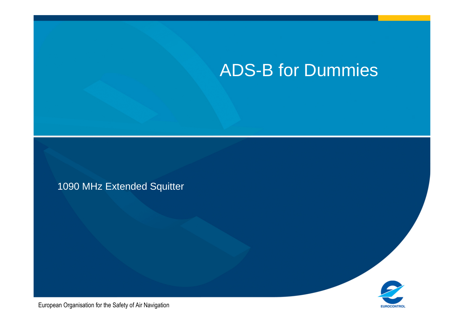### ADS-B for Dummies

1090 MHz Extended Squitter



European Organisation for the Safety of Air Navigation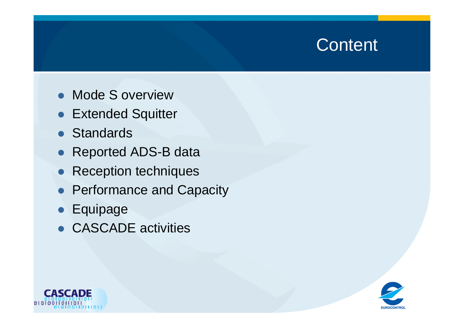#### **Content**

- **Mode S overview**
- **Extended Squitter**
- Standards
- Reported ADS-B data
- Reception techniques
- Performance and Capacity
- **•** Equipage
- CASCADE activities



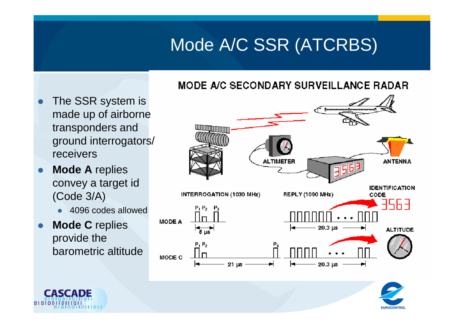# Mode A/C SSR (ATCRBS)

#### **MODE A/C SECONDARY SURVEILLANCE RADAR**

- $\bullet$  The SSR system is made up of airborne transponders and ground interrogators/ receivers
- $\bullet$  **Mode A** replies convey a target id (Code 3/A)
	- 4096 codes allowed
- $\bullet$  **Mode C** replies provide the barometric altitude





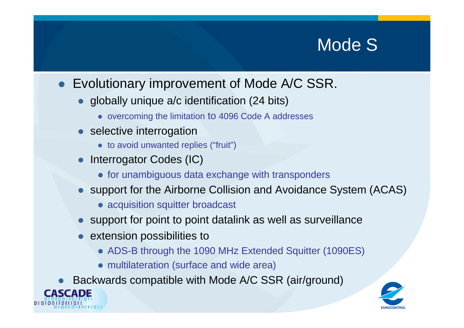### Mode S<sup>®</sup>

- Evolutionary improvement of Mode A/C SSR.
	- globally unique a/c identification (24 bits)
		- overcoming the limitation to 4096 Code A addresses
	- selective interrogation
		- to avoid unwanted replies ("fruit")
	- $\bullet$  Interrogator Codes (IC)
		- **•** for unambiguous data exchange with transponders
	- support for the Airborne Collision and Avoidance System (ACAS)
		- acquisition squitter broadcast
	- support for point to point datalink as well as surveillance
	- **•** extension possibilities to
		- ADS-B through the 1090 MHz Extended Squitter (1090ES)
		- multilateration (surface and wide area)
- $\bullet$ • Backwards compatible with Mode A/C SSR (air/ground)<br>
SCADE



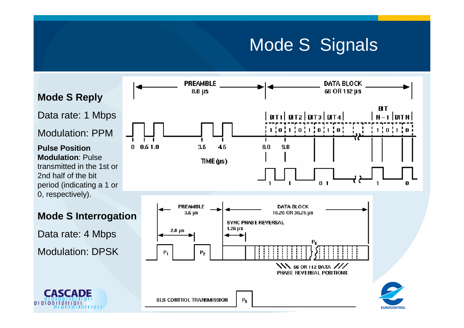### Mode S Signals



**Mode S Reply**

Data rate: 1 Mbps

Modulation: PPM

**Pulse Position Modulation**: Pulse transmitted in the 1st or 2nd half of the bit period (indicating a 1 or 0, respectively).



 $010100$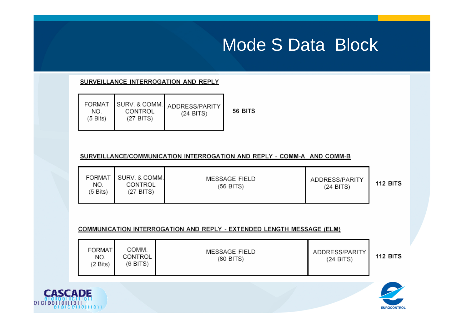### Mode S Data Block

#### SURVEILLANCE INTERROGATION AND REPLY

| NO.                | CONTROL   | FORMAT SURV. & COMM. ADDRESS/PARITY | 56 |
|--------------------|-----------|-------------------------------------|----|
| $(5 \text{ bits})$ | (27 BITS) | $(24$ BITS)                         |    |

#### SURVEILLANCE/COMMUNICATION INTERROGATION AND REPLY - COMM-A AND COMM-B

| FORMAT<br>NO.<br>(5 Bits) | SURV. & COMM.<br>CONTROL<br>(27 BITS) | MESSAGE FIELD<br>(56 BITS) | ADDRESS/PARITY<br>$(24$ BITS) | <b>112 BITS</b> |
|---------------------------|---------------------------------------|----------------------------|-------------------------------|-----------------|
|---------------------------|---------------------------------------|----------------------------|-------------------------------|-----------------|

**BITS** 

#### COMMUNICATION INTERROGATION AND REPLY - EXTENDED LENGTH MESSAGE (ELM)

| <b>FORMAT</b><br>NO.<br>(2 Bits) | COMM.<br>CONTROL<br>(6 BITS) | MESSAGE FIELD<br>(80 BITS) | ADDRESS/PARITY<br>$(24$ BITS) | <b>112 BITS</b> |
|----------------------------------|------------------------------|----------------------------|-------------------------------|-----------------|
|----------------------------------|------------------------------|----------------------------|-------------------------------|-----------------|



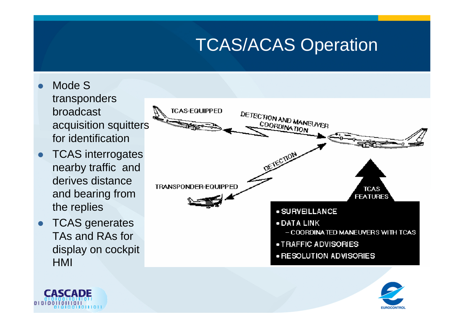# TCAS/ACAS Operation

- $\bullet$  Mode S transponders broadcast acquisition squitters for identification
- **TCAS** interrogates  $\bullet$ nearby traffic and derives distance and bearing from the replies
- **TCAS** generates  $\bullet$ TAs and RAs for display on cockpit HMI





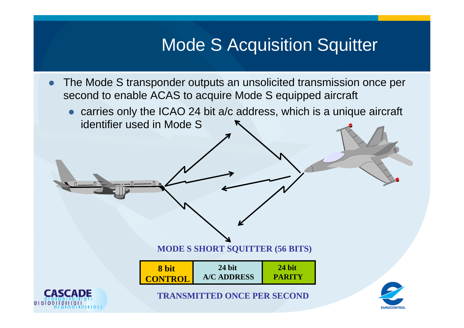### **Mode S Acquisition Squitter**

- $\bullet$  The Mode S transponder outputs an unsolicited transmission once per second to enable ACAS to acquire Mode S equipped aircraft
	- carries only the ICAO 24 bit a/c address, which is a unique aircraft identifier used in Mode S

**MODE S SHORT SQUITTER (56 BITS)**

| 8 bit          | 24 bit             | 24 bit        |
|----------------|--------------------|---------------|
| <b>CONTROL</b> | <b>A/C ADDRESS</b> | <b>PARITY</b> |



.... . .....∩............. <del>∏</del>



**TRANSMITTED ONCE PER SECOND**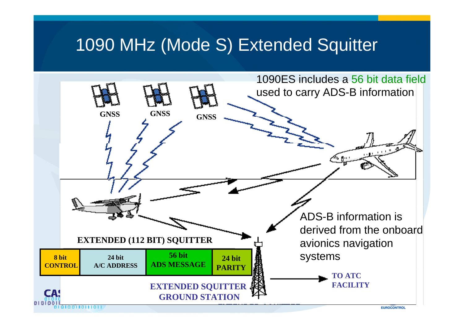#### 1090 MHz (Mode S) Extended Squitter

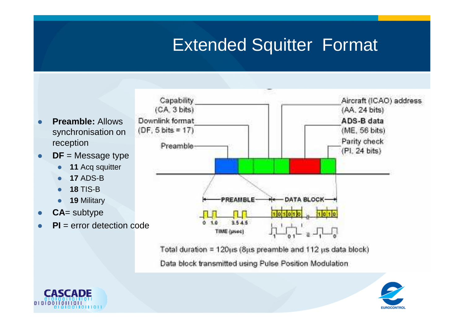# Extended Squitter Format



- $\bullet$ **DF** = Message type
	- $\bullet$ **<sup>11</sup>** Acq squitter
	- $\bullet$ **<sup>17</sup>** ADS-B
	- **<sup>18</sup>** TIS-B $\bullet$
	- **<sup>19</sup>** Military  $\bullet$
- $\bullet$ **CA**= subtype
- $\bullet$ **PI** = error detection code



Total duration =  $120\mu s$  (8 $\mu s$  preamble and 112  $\mu s$  data block) Data block transmitted using Pulse Position Modulation.



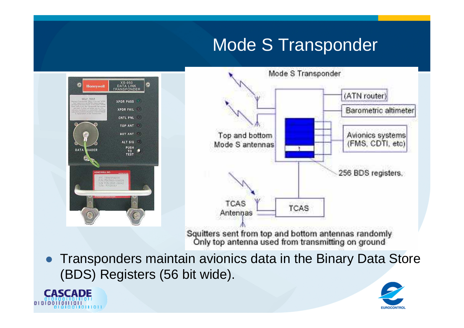# Mode S Transponder





Squitters sent from top and bottom antennas randomly<br>Only top antenna used from transmitting on ground

 $\bullet$  Transponders maintain avionics data in the Binary Data Store (BDS) Registers (56 bit wide).



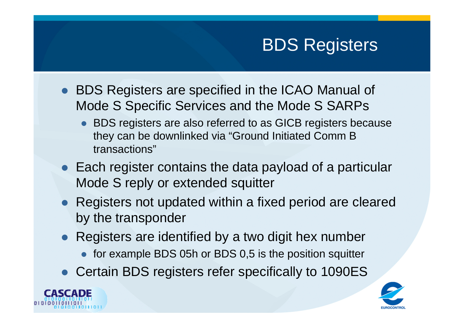# BDS Registers

- **BDS Registers are specified in the ICAO Manual of** Mode S Specific Services and the Mode S SARPs
	- BDS registers are also referred to as GICB registers because they can be downlinked via "Ground Initiated Comm B transactions"
- Each register contains the data payload of a particular Mode S reply or extended squitter
- Registers not updated within a fixed period are cleared by the transponder
- Registers are identified by a two digit hex number
	- for example BDS 05h or BDS 0,5 is the position squitter
- Certain BDS registers refer specifically to 1090ES



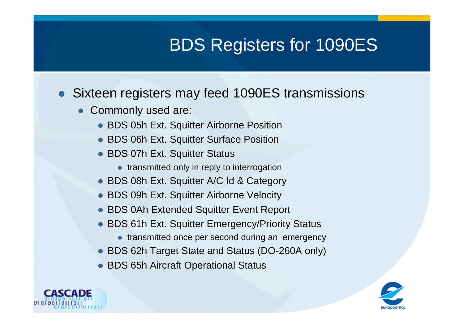# BDS Registers for 1090ES

- Sixteen registers may feed 1090ES transmissions
	- Commonly used are:
		- BDS 05h Ext. Squitter Airborne Position
		- BDS 06h Ext. Squitter Surface Position
		- BDS 07h Ext. Squitter Status
			- **•** transmitted only in reply to interrogation
		- BDS 08h Ext. Squitter A/C Id & Category
		- BDS 09h Ext. Squitter Airborne Velocity
		- BDS 0Ah Extended Squitter Event Report
		- BDS 61h Ext. Squitter Emergency/Priority Status
			- **•** transmitted once per second during an emergency
		- BDS 62h Target State and Status (DO-260A only)
		- BDS 65h Aircraft Operational Status



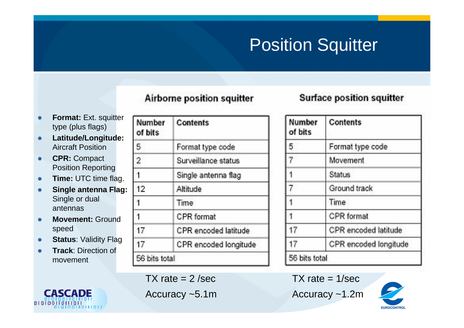# Position Squitter

#### Airborne position squitter

#### **Surface position squitter**

- $\bullet$ **Format:** Ext. squitter type (plus flags)
- $\bullet$  **Latitude/Longitude:**  Aircraft Position
- **CPR:** Compact  $\bullet$ Position Reporting
- $\bullet$ **Time:** UTC time flag.
- $\bullet$  **Single antenna Flag:**  Single or dual antennas
- $\bullet$  **Movement:** Ground speed
- **Status: Validity Flag**  $\bullet$
- $\bullet$  **Track**: Direction of movement



| Number<br>of bits | <b>Contents</b>       |  |
|-------------------|-----------------------|--|
| 5                 | Format type code      |  |
| $\overline{2}$    | Surveillance status   |  |
| 1                 | Single antenna flag   |  |
| 12                | Altitude              |  |
| 1                 | Time                  |  |
| 1                 | <b>CPR</b> format     |  |
| 17                | CPR encoded latitude  |  |
| 17                | CPR encoded longitude |  |
| 56 bits total     |                       |  |

 $TX$  rate =  $2$  /sec

Accuracy ~5.1m

Number **Contents** of bits Format type code 5. Movement. **Status** Ground track Time. CPR format 17 CPR encoded latitude 17 CPR encoded longitude 56 bits total

 $TX$  rate =  $1/sec$ 

Accuracy ~1.2m

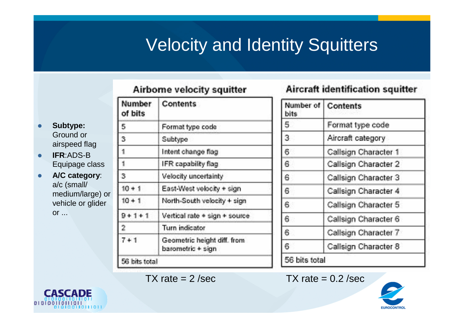# Velocity and Identity Squitters

#### Airborne velocity squitter

| $\bullet$ | <b>Subtype:</b> |  |
|-----------|-----------------|--|
|           | Ground or       |  |
|           | airspeed flag   |  |

- $\bullet$  **IFR**:ADS-B Equipage class
- **A/C category**:  $\bullet$ a/c (small/ medium/large) or vehicle or glider or ...

| Number<br>of bits | <b>Contents</b>                                  |
|-------------------|--------------------------------------------------|
| 5                 | Format type code                                 |
| 3                 | Subtype                                          |
| í                 | Intent change flag                               |
| f.                | IFR capability flag                              |
| 3                 | Velocity uncertainty                             |
| $10 + 1$          | East-West velocity + sign                        |
| $10 + 1$          | North-South velocity + sign                      |
| $9 + 1 + 1$       | Vertical rate + sign + source                    |
| 2                 | Turn indicator                                   |
| $7 + 1$           | Geometric height diff. from<br>barometric + sign |

#### **Aircraft identification squitter**

| Number of<br>bits | <b>Contents</b>      |
|-------------------|----------------------|
| 5.                | Format type code     |
| 3.                | Aircraft category    |
| 61                | Callsign Character 1 |
| 6.                | Callsign Character 2 |
| 6                 | Callsign Character 3 |
| 6                 | Callsign Character 4 |
| 6,                | Callsign Character 5 |
| 6.                | Callsign Character 6 |
| 6.                | Callsign Character 7 |
| 61                | Callsign Character 8 |
| 56 bits total     |                      |

 $TX \text{ rate} = 2 \text{/sec}$   $TX \text{ rate} = 0.2 \text{/sec}$ 



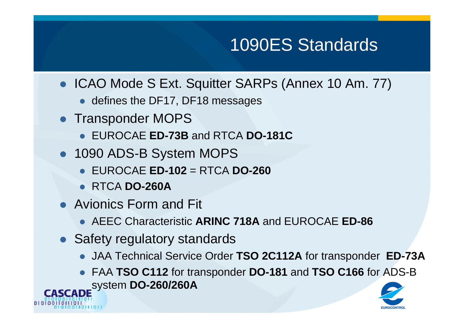# 1090ES Standards

- ICAO Mode S Ext. Squitter SARPs (Annex 10 Am. 77)
	- defines the DF17, DF18 messages
- Transponder MOPS
	- EUROCAE **ED-73B** and RTCA **DO-181C**
- 1090 ADS-B System MOPS
	- EUROCAE **ED-102** = RTCA **DO-260**
	- RTCA **DO-260A**
- Avionics Form and Fit
	- AEEC Characteristic **ARINC 718A** and EUROCAE **ED-86**
- Safety regulatory standards
	- JAA Technical Service Order **TSO 2C112A** for transponder **ED-73A**
- FAA **TSO C112** for transponder **DO-181** and **TSO C166** for ADS-B system **DO-260/260ACASCADE**

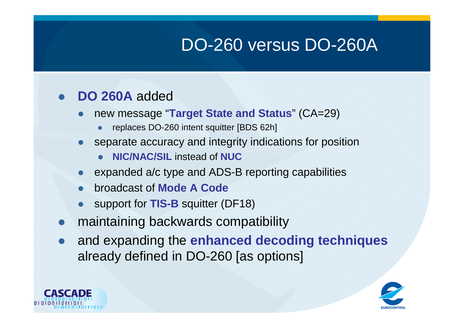# DO-260 versus DO-260A

#### $\bullet$ **DO 260A** added

- $\bullet$  new message "**Target State and Status**" (CA=29)
	- $\bullet$ replaces DO-260 intent squitter [BDS 62h]
- separate accuracy and integrity indications for position
	- **NIC/NAC/SIL** instead of **NUC**
- expanded a/c type and ADS-B reporting capabilities
- $\bullet$ broadcast of **Mode A Code**
- support for **TIS-B** squitter (DF18)
- $\bullet$ maintaining backwards compatibility
- $\bullet$  and expanding the **enhanced decoding techniques**  already defined in DO-260 [as options]



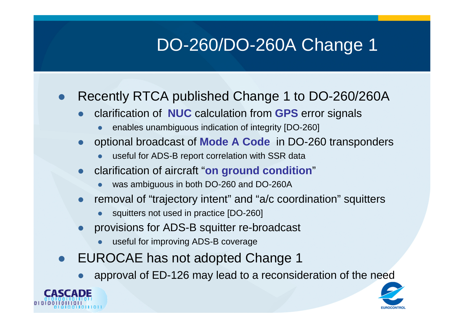# DO-260/DO-260A Change 1

#### $\bullet$ Recently RTCA published Change 1 to DO-260/260A

- $\bullet$  clarification of **NUC** calculation from **GPS** error signals
	- $\bullet$ enables unambiguous indication of integrity [DO-260]
- $\bullet$  optional broadcast of **Mode A Code** in DO-260 transponders
	- $\bullet$ useful for ADS-B report correlation with SSR data
- $\bullet$  clarification of aircraft "**on ground condition**"
	- $\bullet$ was ambiguous in both DO-260 and DO-260A
- removal of "trajectory intent" and "a/c coordination" squitters  $\bullet$ 
	- $\bullet$ squitters not used in practice [DO-260]
- $\bullet$  provisions for ADS-B squitter re-broadcast
	- $\bullet$ useful for improving ADS-B coverage
- $\bullet$  EUROCAE has not adopted Change 1
	- $\bullet$ approval of ED-126 may lead to a reconsideration of the need



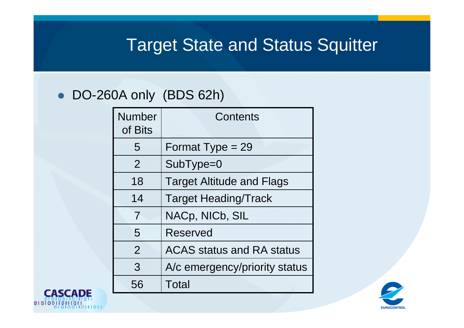### Target State and Status Squitter

#### • DO-260A only (BDS 62h)

| <b>Number</b><br>of Bits | Contents                         |
|--------------------------|----------------------------------|
| 5                        | Format Type = $29$               |
| $\overline{2}$           | SubType=0                        |
| 18                       | <b>Target Altitude and Flags</b> |
| 14                       | <b>Target Heading/Track</b>      |
| 7                        | NACp, NICb, SIL                  |
| 5                        | <b>Reserved</b>                  |
| $\overline{2}$           | <b>ACAS status and RA status</b> |
| 3                        | A/c emergency/priority status    |
| 56                       | Total                            |



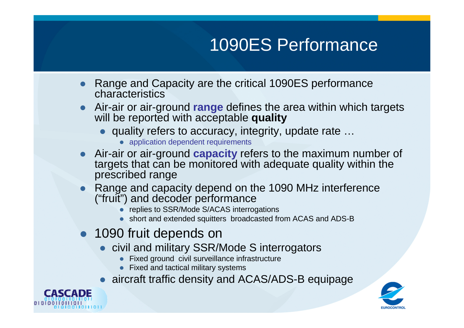# 1090ES Performance

- $\bullet$  Range and Capacity are the critical 1090ES performance characteristics
- Air-air or air-ground **range** defines the area within which targets  $\bullet$ will be reported with acceptable **quality**
	- quality refers to accuracy, integrity, update rate …
		- application dependent requirements
- $\bullet$  Air-air or air-ground **capacity** refers to the maximum number of targets that can be monitored with adequate quality within the prescribed range
- Range and capacity depend on the 1090 MHz interference  $\bullet$ ("fruit") and decoder performance
	- replies to SSR/Mode S/ACAS interrogations
	- short and extended squitters broadcasted from ACAS and ADS-B
- 1090 fruit depends on
	- **•** civil and military SSR/Mode S interrogators
		- Fixed ground civil surveillance infrastructure
		- Fixed and tactical military systems
	- aircraft traffic density and ACAS/ADS-B equipage



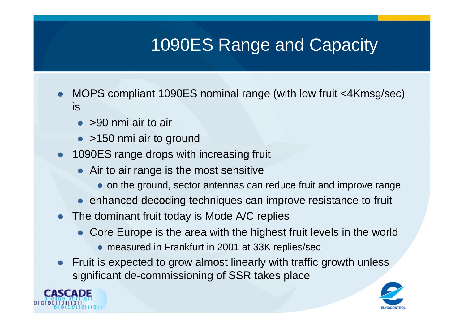# 1090ES Range and Capacity

- $\bullet$  MOPS compliant 1090ES nominal range (with low fruit <4Kmsg/sec) is
	- >90 nmi air to air
	- >150 nmi air to ground
- **1090ES range drops with increasing fruit** 
	- Air to air range is the most sensitive
		- on the ground, sector antennas can reduce fruit and improve range
	- enhanced decoding techniques can improve resistance to fruit
- The dominant fruit today is Mode A/C replies
	- Core Europe is the area with the highest fruit levels in the world
		- measured in Frankfurt in 2001 at 33K replies/sec
- $\bullet$  Fruit is expected to grow almost linearly with traffic growth unless significant de-commissioning of SSR takes place



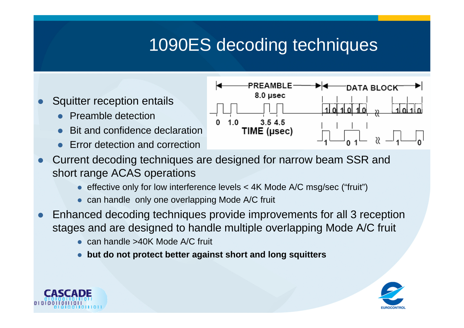# 1090ES decoding techniques

- $\bullet$  Squitter reception entails
	- $\bullet$ Preamble detection
	- $\bullet$ Bit and confidence declaration
	- $\bullet$ Error detection and correction



- $\bullet$  Current decoding techniques are designed for narrow beam SSR and short range ACAS operations
	- effective only for low interference levels < 4K Mode A/C msg/sec ("fruit")
	- can handle only one overlapping Mode A/C fruit
- $\bullet$  Enhanced decoding techniques provide improvements for all 3 reception stages and are designed to handle multiple overlapping Mode A/C fruit
	- $\bullet$ can handle >40K Mode A/C fruit
	- $\bullet$ **but do not protect better against short and long squitters**



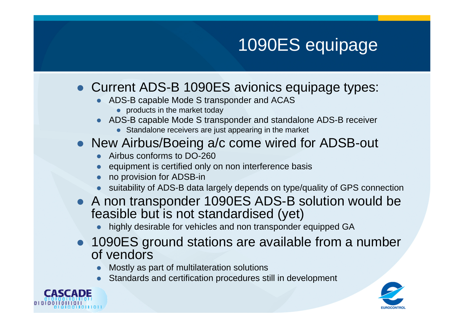# 1090ES equipage

### • Current ADS-B 1090ES avionics equipage types:

- ADS-B capable Mode S transponder and ACAS
	- products in the market today
- ADS-B capable Mode S transponder and standalone ADS-B receiver
	- **•** Standalone receivers are just appearing in the market

### • New Airbus/Boeing a/c come wired for ADSB-out

- Airbus conforms to DO-260
- $\bullet$ equipment is certified only on non interference basis
- no provision for ADSB-in
- suitability of ADS-B data largely depends on type/quality of GPS connection
- A non transponder 1090ES ADS-B solution would be<br>focaible but is not atonder diseal (yet) feasible but is not standardised (yet)
	- highly desirable for vehicles and non transponder equipped GA $\bullet$
- 1090ES ground stations are available from a number of vendors
	- Mostly as part of multilateration solutions  $\bullet$
	- $\bullet$ Standards and certification procedures still in development



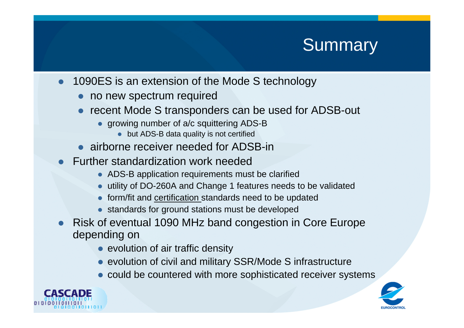### **Summary**

- $\bullet$  1090ES is an extension of the Mode S technology
	- no new spectrum required
	- $\bullet$  recent Mode S transponders can be used for ADSB-out
		- growing number of a/c squittering ADS-B
			- but ADS-B data quality is not certified
	- airborne receiver needed for ADSB-in
- Further standardization work needed
	- ADS-B application requirements must be clarified
	- utility of DO-260A and Change 1 features needs to be validated
	- **•** form/fit and <u>certification s</u>tandards need to be updated
	- **•** standards for ground stations must be developed
- $\bullet$  Risk of eventual 1090 MHz band congestion in Core Europe depending on
	- evolution of air traffic density
	- evolution of civil and military SSR/Mode S infrastructure
	- could be countered with more sophisticated receiver systems